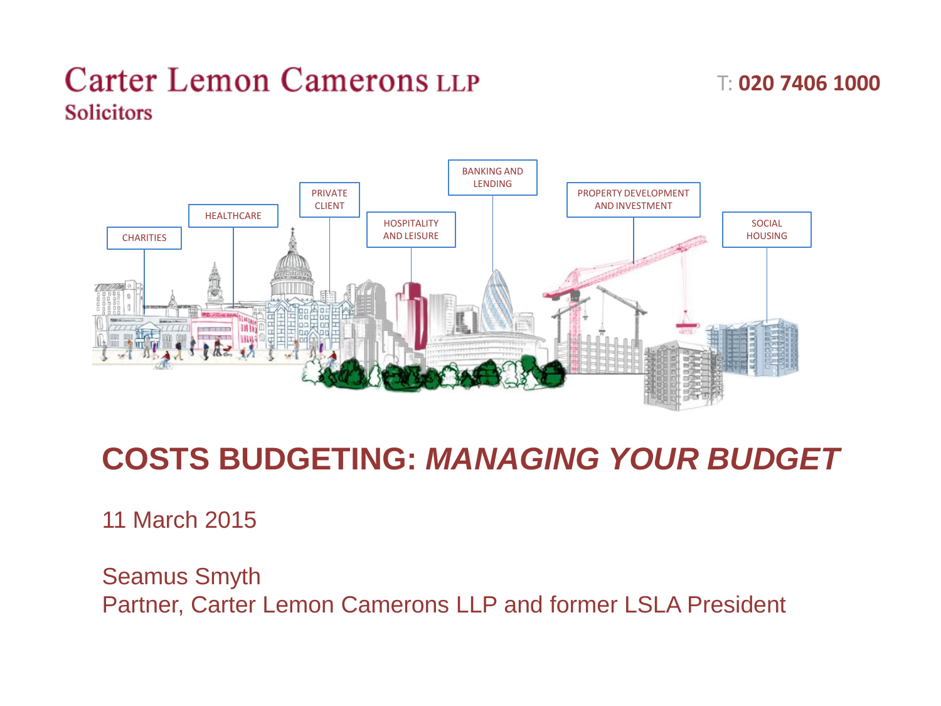T: **020 7406 1000**



# **COSTS BUDGETING:** *MANAGING YOUR BUDGET*

11 March 2015

Seamus Smyth Partner, Carter Lemon Camerons LLP and former LSLA President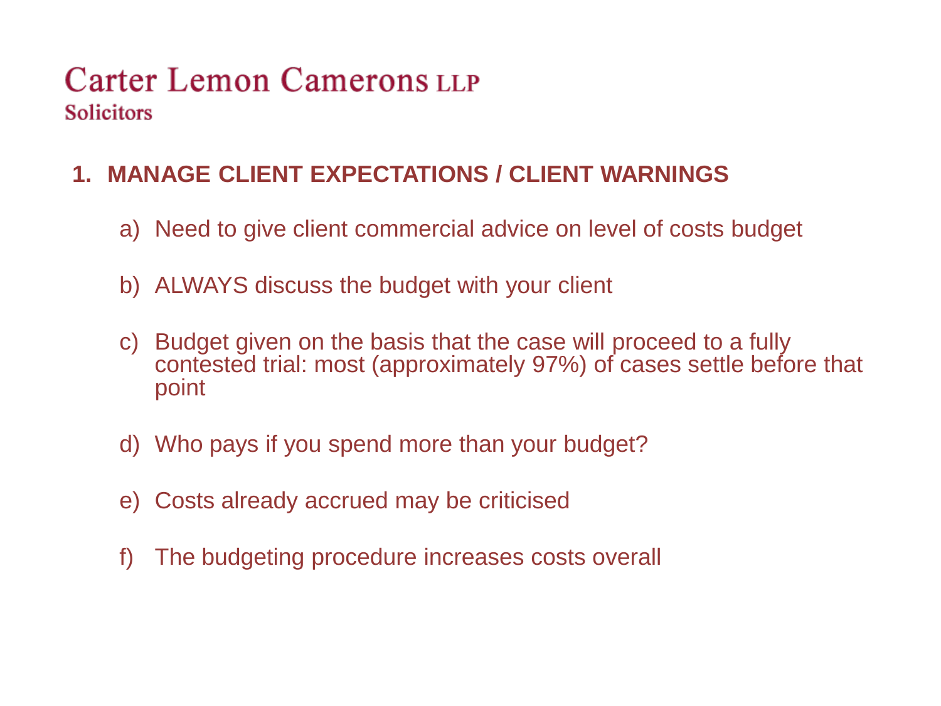#### **1. MANAGE CLIENT EXPECTATIONS / CLIENT WARNINGS**

- a) Need to give client commercial advice on level of costs budget
- b) ALWAYS discuss the budget with your client
- c) Budget given on the basis that the case will proceed to a fully contested trial: most (approximately 97%) of cases settle before that point
- d) Who pays if you spend more than your budget?
- e) Costs already accrued may be criticised
- f) The budgeting procedure increases costs overall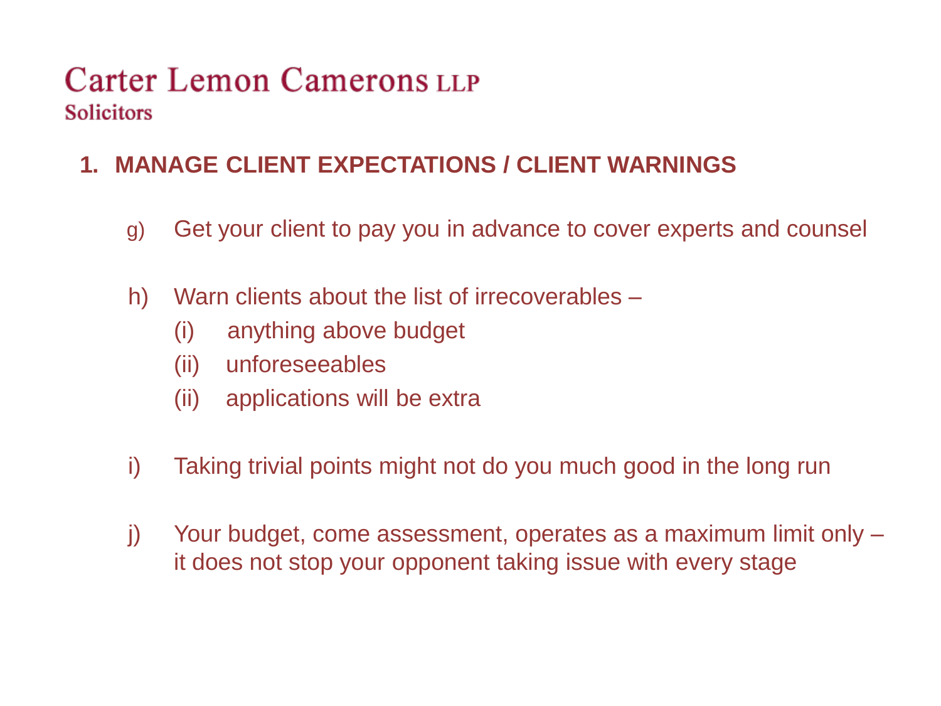### **1. MANAGE CLIENT EXPECTATIONS / CLIENT WARNINGS**

- g) Get your client to pay you in advance to cover experts and counsel
- h) Warn clients about the list of irrecoverables
	- (i) anything above budget
	- (ii) unforeseeables
	- (ii) applications will be extra
- i) Taking trivial points might not do you much good in the long run
- j) Your budget, come assessment, operates as a maximum limit only it does not stop your opponent taking issue with every stage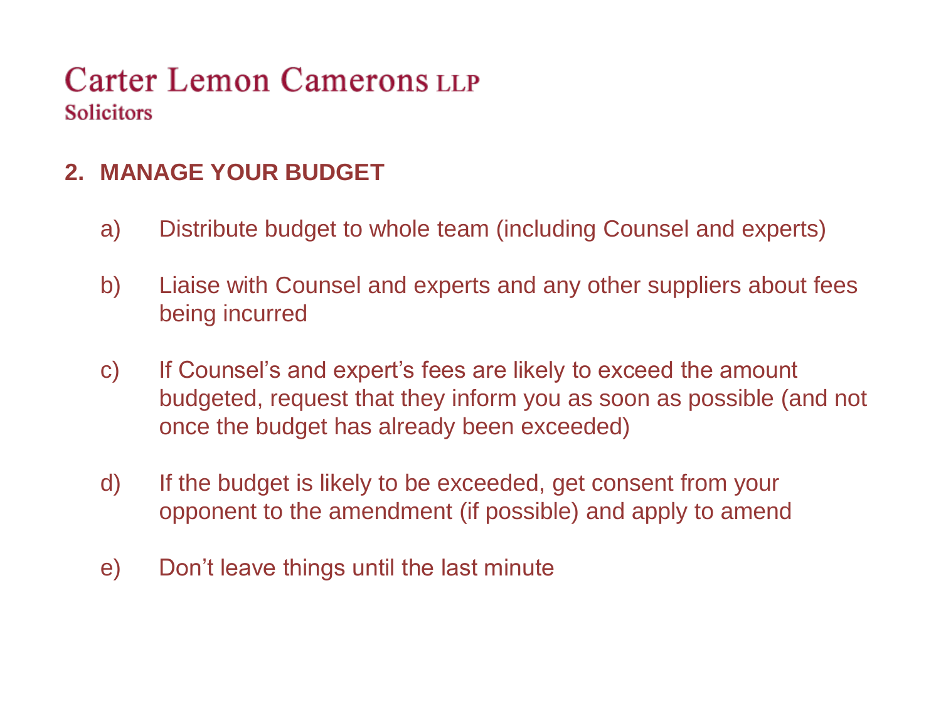#### **2. MANAGE YOUR BUDGET**

- a) Distribute budget to whole team (including Counsel and experts)
- b) Liaise with Counsel and experts and any other suppliers about fees being incurred
- c) If Counsel's and expert's fees are likely to exceed the amount budgeted, request that they inform you as soon as possible (and not once the budget has already been exceeded)
- d) If the budget is likely to be exceeded, get consent from your opponent to the amendment (if possible) and apply to amend
- e) Don't leave things until the last minute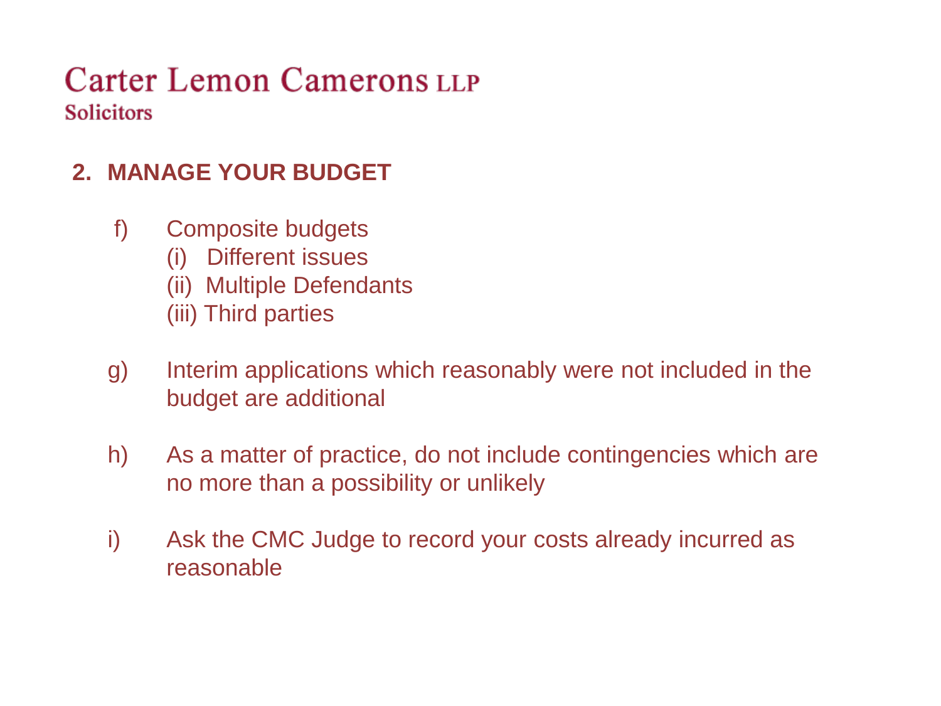### **2. MANAGE YOUR BUDGET**

- f) Composite budgets
	- (i) Different issues
	- (ii) Multiple Defendants
	- (iii) Third parties
- g) Interim applications which reasonably were not included in the budget are additional
- h) As a matter of practice, do not include contingencies which are no more than a possibility or unlikely
- i) Ask the CMC Judge to record your costs already incurred as reasonable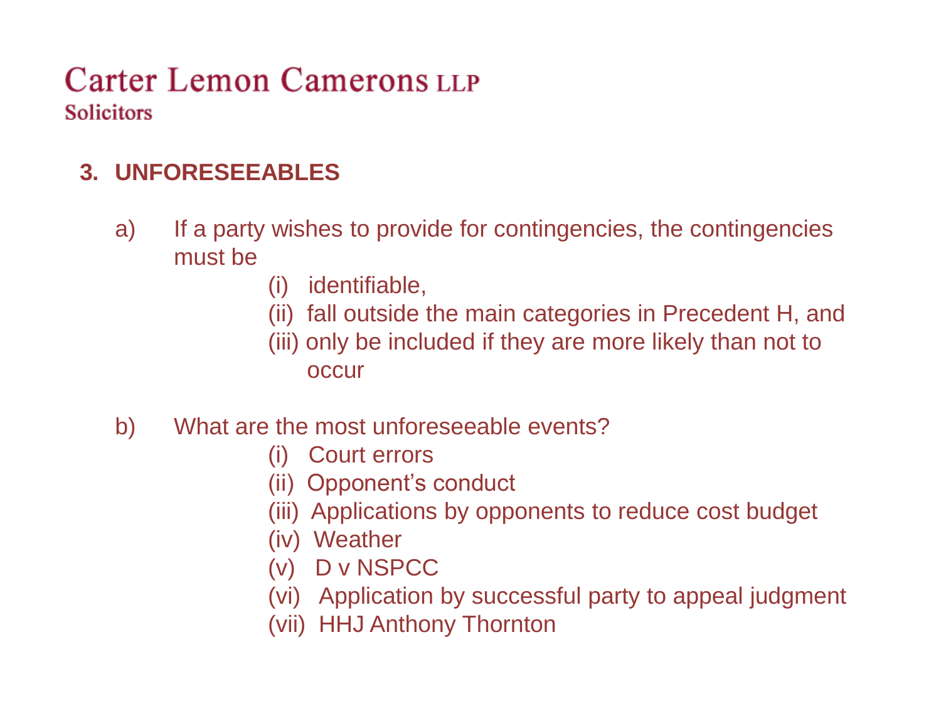### **3. UNFORESEEABLES**

- a) If a party wishes to provide for contingencies, the contingencies must be
	- (i) identifiable,
	- (ii) fall outside the main categories in Precedent H, and
	- (iii) only be included if they are more likely than not to

**occur** 

- b) What are the most unforeseeable events?
	- (i) Court errors
	- (ii) Opponent's conduct
	- (iii) Applications by opponents to reduce cost budget
	- (iv) Weather
	- (v) D v NSPCC
	- (vi) Application by successful party to appeal judgment
	- (vii) HHJ Anthony Thornton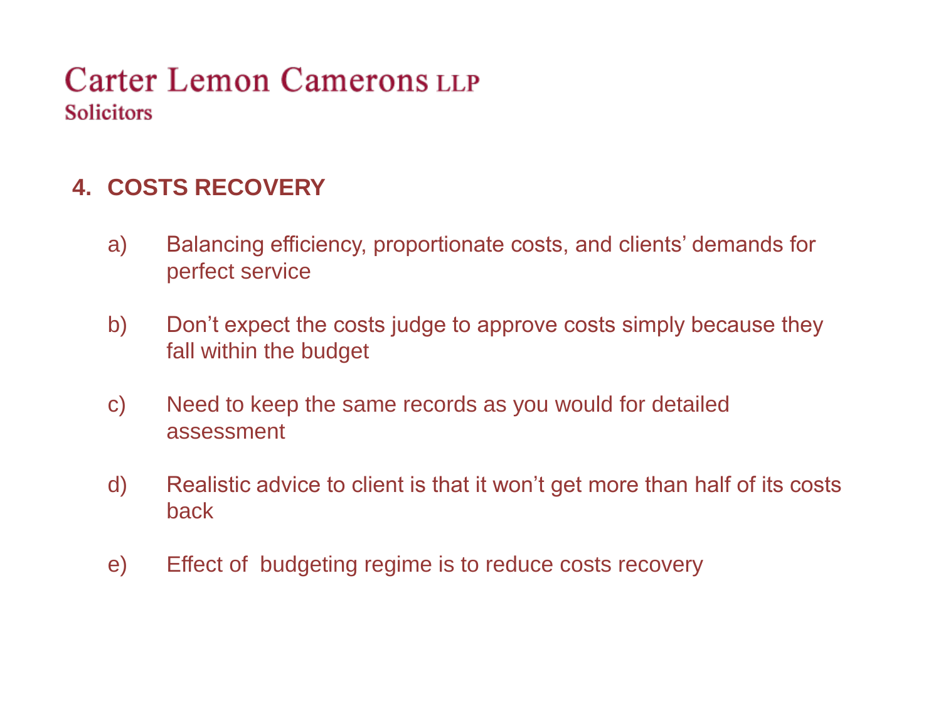#### **4. COSTS RECOVERY**

- a) Balancing efficiency, proportionate costs, and clients' demands for perfect service
- b) Don't expect the costs judge to approve costs simply because they fall within the budget
- c) Need to keep the same records as you would for detailed assessment
- d) Realistic advice to client is that it won't get more than half of its costs back
- e) Effect of budgeting regime is to reduce costs recovery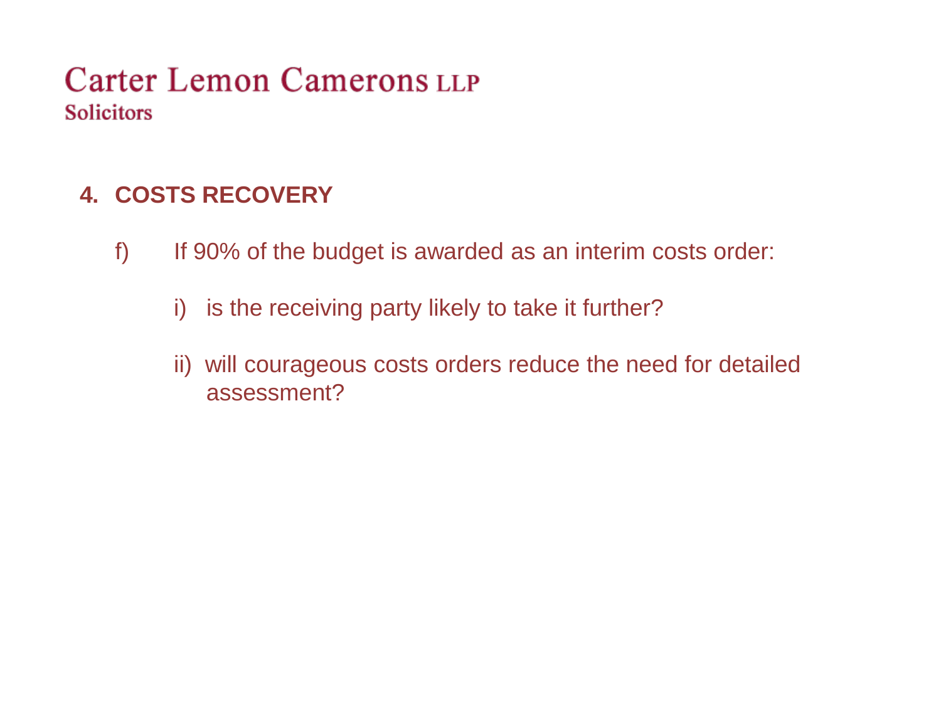#### **4. COSTS RECOVERY**

- f) If 90% of the budget is awarded as an interim costs order:
	- i) is the receiving party likely to take it further?
	- ii) will courageous costs orders reduce the need for detailed assessment?